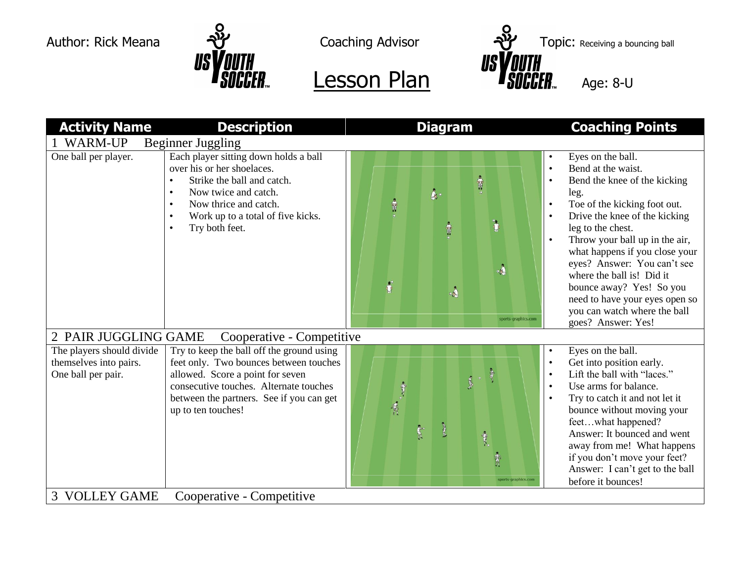



| <b>Activity Name</b>                                                      | <b>Description</b>                                                                                                                                                                                                                  | <b>Diagram</b>                                                                                                                                                                    | <b>Coaching Points</b>                                                                                                                                                                                                                                                                                                                                                                                                                                                                     |  |  |
|---------------------------------------------------------------------------|-------------------------------------------------------------------------------------------------------------------------------------------------------------------------------------------------------------------------------------|-----------------------------------------------------------------------------------------------------------------------------------------------------------------------------------|--------------------------------------------------------------------------------------------------------------------------------------------------------------------------------------------------------------------------------------------------------------------------------------------------------------------------------------------------------------------------------------------------------------------------------------------------------------------------------------------|--|--|
| <b>WARM-UP</b><br>Beginner Juggling                                       |                                                                                                                                                                                                                                     |                                                                                                                                                                                   |                                                                                                                                                                                                                                                                                                                                                                                                                                                                                            |  |  |
| One ball per player.                                                      | Each player sitting down holds a ball<br>over his or her shoelaces.<br>Strike the ball and catch.<br>Now twice and catch.<br>$\bullet$<br>Now thrice and catch.<br>Work up to a total of five kicks.<br>Try both feet.              | $\frac{1}{\sqrt{2}}$<br>$\mathbf{\hat{\mathcal{S}}}_{i}$ .<br>$\frac{1}{3}$<br>$\ddot{\bm{c}}$<br>$\frac{1}{3}$<br>. j<br>$\ddot{\bullet}$<br>$\mathbf{A}$<br>sports-graphics.com | Eyes on the ball.<br>$\bullet$<br>Bend at the waist.<br>$\bullet$<br>Bend the knee of the kicking<br>$\bullet$<br>leg.<br>Toe of the kicking foot out.<br>$\bullet$<br>Drive the knee of the kicking<br>$\bullet$<br>leg to the chest.<br>Throw your ball up in the air,<br>what happens if you close your<br>eyes? Answer: You can't see<br>where the ball is! Did it<br>bounce away? Yes! So you<br>need to have your eyes open so<br>you can watch where the ball<br>goes? Answer: Yes! |  |  |
| 2 PAIR JUGGLING GAME<br>Cooperative - Competitive                         |                                                                                                                                                                                                                                     |                                                                                                                                                                                   |                                                                                                                                                                                                                                                                                                                                                                                                                                                                                            |  |  |
| The players should divide<br>themselves into pairs.<br>One ball per pair. | Try to keep the ball off the ground using<br>feet only. Two bounces between touches<br>allowed. Score a point for seven<br>consecutive touches. Alternate touches<br>between the partners. See if you can get<br>up to ten touches! | <b>Safe</b><br>1975年19月<br>R<br>Î.<br>sports-graphics.com                                                                                                                         | Eyes on the ball.<br>Get into position early.<br>$\bullet$<br>Lift the ball with "laces."<br>$\bullet$<br>Use arms for balance.<br>$\bullet$<br>Try to catch it and not let it<br>$\bullet$<br>bounce without moving your<br>feetwhat happened?<br>Answer: It bounced and went<br>away from me! What happens<br>if you don't move your feet?<br>Answer: I can't get to the ball<br>before it bounces!                                                                                      |  |  |
| <b>3 VOLLEY GAME</b><br>Cooperative - Competitive                         |                                                                                                                                                                                                                                     |                                                                                                                                                                                   |                                                                                                                                                                                                                                                                                                                                                                                                                                                                                            |  |  |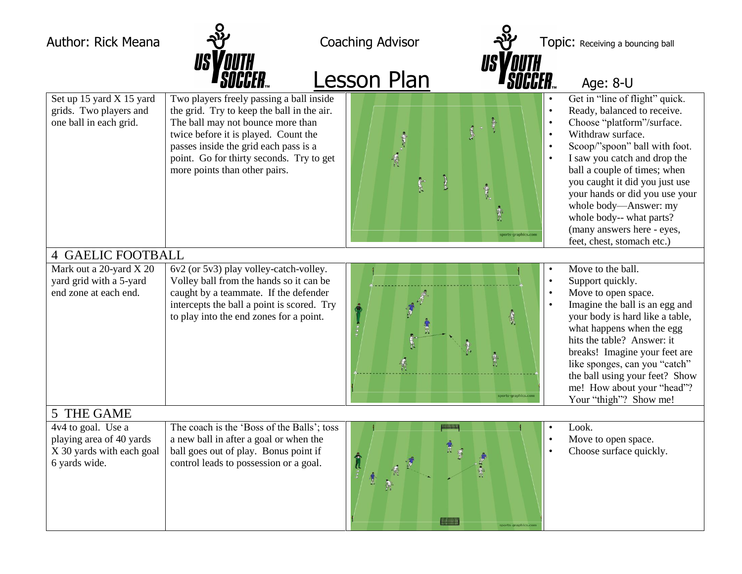Author: Rick Meana  $\frac{1}{2}$  Coaching Advisor  $\frac{1}{2}$  Topic: Receiving a bouncing ball



Lesson Plan **Age: 8-U** Set up 15 yard X 15 yard grids. Two players and one ball in each grid. Two players freely passing a ball inside the grid. Try to keep the ball in the air. The ball may not bounce more than twice before it is played. Count the passes inside the grid each pass is a point. Go for thirty seconds. Try to get more points than other pairs. Get in "line of flight" quick. • Ready, balanced to receive. • Choose "platform"/surface.<br>• Withdraw surface • Withdraw surface. Scoop/"spoon" ball with foot. I saw you catch and drop the ball a couple of times; when you caught it did you just use your hands or did you use your whole body—Answer: my whole body-- what parts? (many answers here - eyes, feet, chest, stomach etc.) 4 GAELIC FOOTBALL Mark out a 20-yard X 20 yard grid with a 5-yard end zone at each end. 6v2 (or 5v3) play volley-catch-volley. Volley ball from the hands so it can be caught by a teammate. If the defender intercepts the ball a point is scored. Try to play into the end zones for a point. Move to the ball. • Support quickly. • Move to open space. Imagine the ball is an egg and your body is hard like a table, what happens when the egg hits the table? Answer: it breaks! Imagine your feet are like sponges, can you "catch" the ball using your feet? Show me! How about your "head"? Your "thigh"? Show me! 5 THE GAME 4v4 to goal. Use a playing area of 40 yards X 30 yards with each goal 6 yards wide. The coach is the 'Boss of the Balls'; toss a new ball in after a goal or when the ball goes out of play. Bonus point if control leads to possession or a goal. Look. • Move to open space. Choose surface quickly.